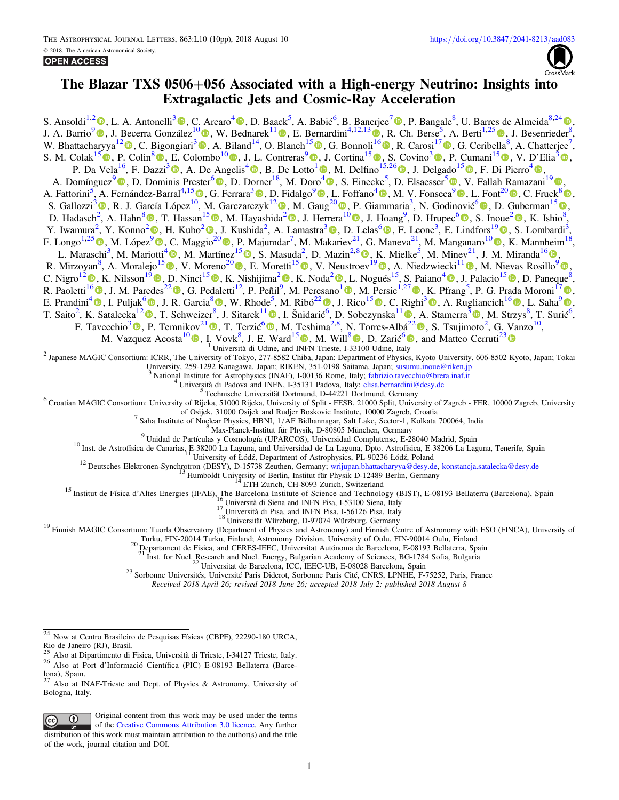

# The Blazar TXS 0506+056 Associated with a High-energy Neutrino: Insights into Extragalactic Jets and Cosmic-Ray Acceleration

S. Ansoldi<sup>1,[2](https://orcid.org/0000-0002-5613-7693)</sup>  $\Phi$ [,](https://orcid.org/0000-0002-5852-5710) L. A. Antonelli<sup>[3](https://orcid.org/0000-0002-5037-9034)</sup>  $\Phi$ , C. Arcaro<sup>[4](https://orcid.org/0000-0001-7909-588X)</sup>  $\Phi$ , D. Baack<sup>5</sup>, A. Babic<sup>6</sup>, B. Banerjee<sup>[7](https://orcid.org/0000-0002-5852-5710)</sup>  $\Phi$ , P. Bangale<sup>8</sup>, U. Barres de Almeida<sup>8,24</sup> $\Phi$ , J. A. Barrio<sup>[9](https://orcid.org/0000-0002-0965-0259)</sup>  $\bullet$ , J. Becerra González<sup>1[0](https://orcid.org/0000-0002-6729-9022)</sup>  $\bullet$ , W. Bednarek<sup>11</sup>  $\bullet$ , E. Bernardini<sup>4,12,1[3](https://orcid.org/0000-0003-3108-1141)</sup>  $\bullet$ , R. Ch. Berse<sup>[5](https://orcid.org/0000-0003-0396-4190)</sup>, A. Berti<sup>1,25</sup>  $\bullet$ , J. Besenrieder<sup>[8](https://orcid.org/0000-0001-7909-588X)</sup>, W. Bhattacharyya<sup>1[2](https://orcid.org/0000-0003-4751-0414)</sup><sup>®</sup>, C. Bigongiari<sup>[3](https://orcid.org/0000-0003-3293-8522)</sup><sup>®</sup>, A. Biland<sup>14</sup>, O. Blanch<sup>1[5](https://orcid.org/0000-0002-8380-1633)</sup><sup>®</sup>[,](https://orcid.org/0000-0002-4137-4370) G. Bonnoli<sup>[1](https://orcid.org/0000-0003-3108-1141)[6](https://orcid.org/0000-0003-2464-9077)</sup><sup>®</sup>, R. Carosi<sup>1[7](https://orcid.org/0000-0002-4137-4370)</sup><sup>®</sup>, G. Ceribella<sup>8</sup>, A. Chatterjee<sup>7</sup>, S. M. Colak<sup>1[5](https://orcid.org/0000-0001-7793-3106)</sup>  $\bullet$ [,](https://orcid.org/0000-0002-7320-5862) P. Colin<sup>8</sup>  $\bullet$ , E. Colombo<sup>1[0](https://orcid.org/0000-0002-3700-3745)</sup>  $\bullet$ , J. L. Contreras<sup>[9](https://orcid.org/0000-0001-7282-2394)</sup>  $\bullet$ , J. Cortina<sup>15</sup>  $\bullet$ , S. Covino<sup>[3](https://orcid.org/0000-0002-7320-5862)</sup>  $\bullet$ , P. Cumani<sup>15</sup>  $\bullet$ , V. D'Elia<sup>3</sup> $\bullet$ , P. Da Vela<sup>16</sup>, F. Dazzi<sup>[3](https://orcid.org/0000-0001-5409-6544)</sup>  $\circledbullet$ , A. De Angelis<sup>[4](https://orcid.org/0000-0003-4861-432X)</sup>  $\circledbullet$ [,](https://orcid.org/0000-0003-4861-432X) B. De Lotto<sup>[1](https://orcid.org/0000-0003-4576-0452)</sup>  $\circledbullet$ , M. Delfino<sup>15,2[6](https://orcid.org/0000-0002-9468-4751)</sup>  $\circledbullet$ , J. Delgado<sup>1[5](https://orcid.org/0000-0002-0166-5464)</sup>  $\circledbullet$ , F. Di Pierro<sup>4</sup>  $\circledbullet$ , A. Domínguez<sup>[9](https://orcid.org/0000-0001-8991-7744)</sup> (**D**, D. Dominis Prester<sup>[6](https://orcid.org/0000-0002-9880-5039)</sup> (**D**, D. Dorner<sup>18</sup>, M. Doro<sup>[4](https://orcid.org/0000-0001-9104-3214)</sup> (**D**, S. Einecke<sup>[5](https://orcid.org/0000-0001-6796-3205)</sup>, D. Elsaesser<sup>5</sup> (**D**, V. Fallah Ramazani<sup>19</sup> (**D**, A. Fattorini<sup>5</sup>[,](https://orcid.org/0000-0003-2109-5961) A. Fernández-Barral<sup>4,15</sup> (b, G. Ferrara<sup>3</sup> (b, D. Fidalgo<sup>[9](https://orcid.org/0000-0003-2235-0725)</sup> (b, L. Foffano<sup>[4](https://orcid.org/0000-0002-0709-9707)</sup> (b, M. V. Fonseca<sup>9</sup> (b, L. Font<sup>2[0](https://orcid.org/0000-0003-2109-5961)</sup> (b, C. Fruck<sup>[8](https://orcid.org/0000-0001-5880-7518)</sup> (b, S. Gallozzi<sup>[3](https://orcid.org/0000-0003-4456-9875)</sup> <sup>(1)</sup>, R. J. García López<sup>[10](https://orcid.org/0000-0003-0618-3250)</sup>, M. Garczarczyk<sup>1[2](https://orcid.org/0000-0002-0445-4566)</sup> , M. Gaug<sup>2[0](https://orcid.org/0000-0001-8442-7877)</sup> (1)[,](https://orcid.org/0000-0002-9636-1825) P. Giammaria<sup>3</sup>, N. Godinović<sup>[6](https://orcid.org/0000-0002-4674-9450)</sup> (1), D. Guberman<sup>1[5](https://orcid.org/0000-0002-9636-1825)</sup> (1), D. Hadasch<sup>[2](https://orcid.org/0000-0003-1096-9424)</sup>, A. Hahn<sup>[8](https://orcid.org/0000-0002-9636-1825)</sup>  $\Phi$ [,](https://orcid.org/0000-0002-7027-5021) T. Hassan<sup>1[5](https://orcid.org/0000-0002-4758-9196)</sup>  $\Phi$ , M. Hayashida<sup>2</sup>  $\Phi$ , J. Herrera<sup>[1](https://orcid.org/0000-0001-8442-7877)[0](https://orcid.org/0000-0002-3771-4918)</sup>  $\Phi$ , J. Hoang<sup>9</sup>, D. Hrupec<sup>[6](https://orcid.org/0000-0002-7027-5021)</sup> $\Phi$ , S. Inoue<sup>2</sup>  $\Phi$ , K. Ishio<sup>8</sup>, Y. Iwamura<sup>[2](https://orcid.org/0000-0002-5847-2110)</sup>[,](https://orcid.org/0000-0001-9159-9853) Y. Konno<sup>2</sup> **D**, H. Kubo<sup>2</sup> **D**, J. Kushida<sup>2</sup>, A. Lamastra<sup>[3](https://orcid.org/0000-0003-2403-913X)</sup> **D**, D. Lelas<sup>6</sup> **D**, F. Leone<sup>3</sup>, E. Lindfors<sup>1[9](https://orcid.org/0000-0002-9155-6199)</sup> **D**, S. Lombardi<sup>3</sup>, F. Longo<sup>1,2[5](https://orcid.org/0000-0003-2501-2270)</sup> (D[,](https://orcid.org/0000-0003-0670-7771) M. López<sup>[9](https://orcid.org/0000-0002-8791-7908)</sup> (D, C. Maggio<sup>2[0](https://orcid.org/0000-0003-1530-3031)</sup> (D, P. Majumdar<sup>7</sup>, M. Makariev<sup>21</sup>, G. Maneva<sup>21</sup>, M. Manganaro<sup>10</sup> (D, K. Mannheim<sup>18</sup>, L. Maraschi<sup>3</sup>, M. Mariotti<sup>[4](https://orcid.org/0000-0003-3297-4128)</sup> (**D**, M. Martínez<sup>1[5](https://orcid.org/0000-0002-9763-9155)</sup> (**D**[,](https://orcid.org/0000-0002-9763-9155) S. Masuda<sup>2</sup>, D. Mazin<sup>2,[8](https://orcid.org/0000-0002-2010-4005)</sup> (**D**, K. Mielke<sup>5</sup>, M. Minev<sup>21</sup>, J. M. Miranda<sup>1[6](https://orcid.org/0000-0002-1472-9690)</sup> (**D**, R. Mirzoyan<sup>8</sup>, A. Moralejo<sup>1[5](https://orcid.org/0000-0001-5477-9097)</sup> (D. V. Moreno<sup>2[0](https://orcid.org/0000-0002-8358-2098)</sup> (D. E. Moretti<sup>[1](https://orcid.org/0000-0002-8541-8849)5</sup> (D. V. Neustroev<sup>1[9](https://orcid.org/0000-0002-8321-9168)</sup> (D. A. Niedzwiecki<sup>11</sup> (D. M. Nievas Rosillo<sup>9</sup> (D. C. Nigro<sup>1[2](https://orcid.org/0000-0003-1397-6478)</sup>  $\Phi$ , K. Nilsson<sup>1[9](https://orcid.org/0000-0002-1445-8683)</sup>  $\Phi$ [,](https://orcid.org/0000-0003-0374-100X) D. Ninci<sup>1[5](https://orcid.org/0000-0003-0374-100X)</sup>  $\Phi$ , K. Nishijima<sup>2</sup>  $\Phi$ , K. Noda<sup>2</sup>  $\Phi$ , L. Nogués<sup>15</sup>, S. Paiano<sup>[4](https://orcid.org/0000-0002-2239-3373)</sup>  $\Phi$ , J. Palacio<sup>15</sup>  $\Phi$ , D. Paneque<sup>8</sup>, R. Paoletti<sup>[1](https://orcid.org/0000-0002-7537-7334)[6](https://orcid.org/0000-0003-0158-2826)</sup>  $\bullet$ [,](https://orcid.org/0000-0003-1853-4900) J. M. Paredes<sup>[2](https://orcid.org/0000-0002-1566-9044)2</sup>  $\bullet$ , G. Pedaletti<sup>12</sup>, P. Peñil<sup>[9](https://orcid.org/0000-0002-1830-4251)</sup>, M. Peresano<sup>1</sup>  $\bullet$ , M. Persic<sup>1,2[7](https://orcid.org/0000-0001-9712-9916)</sup>  $\bullet$ , K. Pfrang<sup>5</sup>, P. G. Prada Moroni<sup>17</sup>  $\bullet$ , E. Prandini<sup>[4](https://orcid.org/0000-0003-4502-9053)</sup>  $\Phi$ [,](https://orcid.org/0000-0001-5471-4701) I. Puljak<sup>[6](https://orcid.org/0000-0001-5471-4701)</sup>  $\Phi$ , J. R. Garcia<sup>[8](https://orcid.org/0000-0003-0915-0518)</sup>  $\Phi$ , W. Rhode<sup>5</sup>, M. Ribó<sup>[2](https://orcid.org/0000-0002-9931-4557)2</sup>  $\Phi$ , J. Rico<sup>15</sup>  $\Phi$ , C. Righi<sup>[3](https://orcid.org/0000-0002-1218-9555)</sup>  $\Phi$ , A. Rugliancich<sup>16</sup> $\Phi$ , L. Saha<sup>[9](https://orcid.org/0000-0002-3171-5039)</sup> $\Phi$ , T. Saito<sup>[2](https://orcid.org/0000-0002-7669-266X)</sup>, K. Satalecka<sup>12</sup><sup>®</sup>, T. Schweizer<sup>[8](https://orcid.org/0000-0003-0915-0518)</sup>, J. Sitarek<sup>[1](https://orcid.org/0000-0003-4973-7903)1</sup><sup>®</sup>[,](https://orcid.org/0000-0002-1659-5374) I. Šnidarić<sup>[6](https://orcid.org/0000-0002-3171-5039)</sup>, D. Sobczynska<sup>11</sup><sup>®</sup>, A. Stamerra<sup>[3](https://orcid.org/0000-0002-9430-5264)</sup><sup>®</sup>, M. Strzys<sup>8</sup>, T. Surić<sup>6</sup>, F. Tavecchio<sup>[3](https://orcid.org/0000-0003-0256-0995)</sup>  $\bullet$ , P. Temnikov<sup>2[1](https://orcid.org/0000-0002-9559-3384)</sup>  $\bullet$ [,](https://orcid.org/0000-0002-9559-3384) T. Terzić<sup>[6](https://orcid.org/0000-0002-4209-3407)</sup>  $\bullet$ , M. Teshima<sup>[2](https://orcid.org/0000-0002-2893-1267),8</sup>, N. Torres-Albá<sup>22</sup>  $\bullet$ , S. Tsujimoto<sup>2</sup>, G. Vanzo<sup>10</sup>, M. Vazquez Acosta<sup>1[0](https://orcid.org/0000-0002-2409-9792)</sup><sup>®</sup>, I. Vovk<sup>8</sup>, J. E. Ward<sup>1[5](https://orcid.org/0000-0003-1973-0794)</sup><sup>®</sup>, M. Will<sup>[8](https://orcid.org/0000-0002-7504-2083)</sup><sup>®</sup>[,](https://orcid.org/0000-0002-7504-2083) D. Zarić<sup>[6](https://orcid.org/0000-0001-5763-9487)</sup><sup>®</sup>, and Matteo Cerruti<sup>2[3](https://orcid.org/0000-0001-7891-699X)</sup> <sup>2</sup> Japanese MAGIC Consortium: ICRR, The University of Tokyo, 277-8582 Chiba, Japan; Department of Physics, Kyoto University, 606-8502 Kyoto, Japan; Tokai University, 259-1292 Kanagawa, Japan; RIKEN, 351-0198 Saitama, Jap <sup>3</sup> National Institute for Astrophysics (INAF), I-00136 Rome, Italy; [fabrizio.tavecchio@brera.inaf.it](mailto:fabrizio.tavecchio@brera.inaf.it)<br>
<sup>4</sup> Università di Padova and INFN, I-35131 Padova, Italy; [elisa.bernardini@desy.de](mailto:elisa.bernardini@desy.de)<br>
<sup>5</sup> Technische Universität Dortmund <sup>7</sup> Saha Institute of Nuclear Physics, HBNI,  $1/\overline{AP}$  Bidhannagar, Salt Lake, Sector-1, Kolkata 700064, India<br><sup>9</sup> Unidad de Partículas y Cosmología (UPARCOS), Universidad Complutense, E-28040 Madrid, Spain<br><sup>9</sup> Unidad de Turku, FIN-20014 Turku, Finland; Astronomy Division, University of Oulu, FIN-90014 Oulu, Finland<br><sup>20</sup> Departament de Física, and CERES-IEEC, Universitat Autónoma de Barcelona, E-08193 Bellaterra, Spain <sup>21</sup> Inst. for Nucl. Research and Nucl. Energy, Bulgarian Academy of Sciences, BG-1784 Sofia, Bulgaria<br><sup>22</sup> Universitat de Barcelona, ICC, IEEC-UB, E-08028 Barcelona, Spain<br><sup>23</sup> Sorbonne Universités, Université Paris Dide Received 2018 April 26; revised 2018 June 26; accepted 2018 July 2; published 2018 August 8 <sup>24</sup> Now at Centro Brasileiro de Pesquisas Físicas (CBPF), 22290-180 URCA,<br>Rio de Janeiro (RJ), Brasil.<br> $25$ <sub>Alex</sub> at Division in Figure 1.

<sup>&</sup>lt;sup>27</sup> Also at INAF-Trieste and Dept. of Physics & Astronomy, University of Bologna, Italy.



Original content from this work may be used under the terms of the [Creative Commons Attribution 3.0 licence.](http://creativecommons.org/licenses/by/3.0/) Any further distribution of this work must maintain attribution to the author(s) and the title of the work, journal citation and DOI.

<sup>&</sup>lt;sup>25</sup> Also at Dipartimento di Fisica, Università di Trieste, I-34127 Trieste, Italy. <sup>26</sup> Also at Port d'Informació Científica (PIC) E-08193 Bellaterra (Barce-lona), Spain.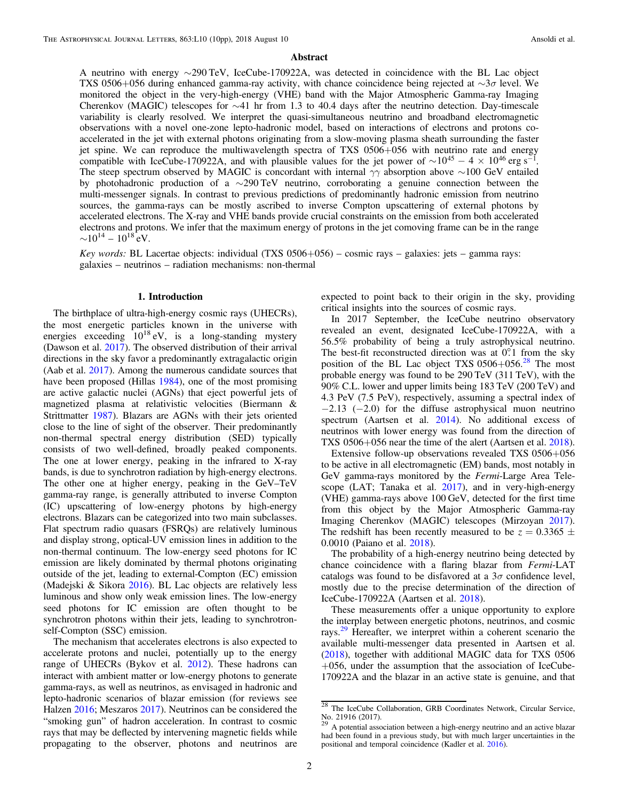# Abstract

A neutrino with energy ∼290 TeV, IceCube-170922A, was detected in coincidence with the BL Lac object TXS 0506+056 during enhanced gamma-ray activity, with chance coincidence being rejected at ∼3σ level. We monitored the object in the very-high-energy (VHE) band with the Major Atmospheric Gamma-ray Imaging Cherenkov (MAGIC) telescopes for ∼41 hr from 1.3 to 40.4 days after the neutrino detection. Day-timescale variability is clearly resolved. We interpret the quasi-simultaneous neutrino and broadband electromagnetic observations with a novel one-zone lepto-hadronic model, based on interactions of electrons and protons coaccelerated in the jet with external photons originating from a slow-moving plasma sheath surrounding the faster jet spine. We can reproduce the multiwavelength spectra of TXS 0506+056 with neutrino rate and energy compatible with IceCube-170922A, and with plausible values for the jet power of  $\sim 10^{45} - 4 \times 10^{46}$  erg s<sup>-1</sup>. The steep spectrum observed by MAGIC is concordant with internal  $\gamma\gamma$  absorption above ∼100 GeV entailed by photohadronic production of a ∼290 TeV neutrino, corroborating a genuine connection between the multi-messenger signals. In contrast to previous predictions of predominantly hadronic emission from neutrino sources, the gamma-rays can be mostly ascribed to inverse Compton upscattering of external photons by accelerated electrons. The X-ray and VHE bands provide crucial constraints on the emission from both accelerated electrons and protons. We infer that the maximum energy of protons in the jet comoving frame can be in the range  $\sim$ 10<sup>14</sup> – 10<sup>18</sup> eV.

Key words: BL Lacertae objects: individual (TXS 0506+056) – cosmic rays – galaxies: jets – gamma rays: galaxies – neutrinos – radiation mechanisms: non-thermal

#### 1. Introduction

The birthplace of ultra-high-energy cosmic rays (UHECRs), the most energetic particles known in the universe with energies exceeding  $10^{18}$  eV, is a long-standing mystery (Dawson et al. [2017](#page-8-0)). The observed distribution of their arrival directions in the sky favor a predominantly extragalactic origin (Aab et al. [2017](#page-8-0)). Among the numerous candidate sources that have been proposed (Hillas [1984](#page-8-0)), one of the most promising are active galactic nuclei (AGNs) that eject powerful jets of magnetized plasma at relativistic velocities (Biermann & Strittmatter [1987](#page-8-0)). Blazars are AGNs with their jets oriented close to the line of sight of the observer. Their predominantly non-thermal spectral energy distribution (SED) typically consists of two well-defined, broadly peaked components. The one at lower energy, peaking in the infrared to X-ray bands, is due to synchrotron radiation by high-energy electrons. The other one at higher energy, peaking in the GeV–TeV gamma-ray range, is generally attributed to inverse Compton (IC) upscattering of low-energy photons by high-energy electrons. Blazars can be categorized into two main subclasses. Flat spectrum radio quasars (FSRQs) are relatively luminous and display strong, optical-UV emission lines in addition to the non-thermal continuum. The low-energy seed photons for IC emission are likely dominated by thermal photons originating outside of the jet, leading to external-Compton (EC) emission (Madejski & Sikora [2016](#page-8-0)). BL Lac objects are relatively less luminous and show only weak emission lines. The low-energy seed photons for IC emission are often thought to be synchrotron photons within their jets, leading to synchrotronself-Compton (SSC) emission.

The mechanism that accelerates electrons is also expected to accelerate protons and nuclei, potentially up to the energy range of UHECRs (Bykov et al. [2012](#page-8-0)). These hadrons can interact with ambient matter or low-energy photons to generate gamma-rays, as well as neutrinos, as envisaged in hadronic and lepto-hadronic scenarios of blazar emission (for reviews see Halzen [2016](#page-8-0); Meszaros [2017](#page-9-0)). Neutrinos can be considered the "smoking gun" of hadron acceleration. In contrast to cosmic rays that may be deflected by intervening magnetic fields while propagating to the observer, photons and neutrinos are

expected to point back to their origin in the sky, providing critical insights into the sources of cosmic rays.

In 2017 September, the IceCube neutrino observatory revealed an event, designated IceCube-170922A, with a 56.5% probability of being a truly astrophysical neutrino. The best-fit reconstructed direction was at  $0^\circ$ .1 from the sky position of the BL Lac object TXS  $0506+056$ .<sup>28</sup> The most probable energy was found to be 290 TeV (311 TeV), with the 90% C.L. lower and upper limits being 183 TeV (200 TeV) and 4.3 PeV (7.5 PeV), respectively, assuming a spectral index of  $-2.13$  ( $-2.0$ ) for the diffuse astrophysical muon neutrino spectrum (Aartsen et al. [2014](#page-8-0)). No additional excess of neutrinos with lower energy was found from the direction of TXS 0506+056 near the time of the alert (Aartsen et al. [2018](#page-8-0)).

Extensive follow-up observations revealed TXS 0506+056 to be active in all electromagnetic (EM) bands, most notably in GeV gamma-rays monitored by the Fermi-Large Area Telescope (LAT; Tanaka et al.  $2017$ ), and in very-high-energy (VHE) gamma-rays above 100 GeV, detected for the first time from this object by the Major Atmospheric Gamma-ray Imaging Cherenkov (MAGIC) telescopes (Mirzoyan [2017](#page-9-0)). The redshift has been recently measured to be  $z = 0.3365 \pm 1.5$ 0.0010 (Paiano et al. [2018](#page-9-0)).

The probability of a high-energy neutrino being detected by chance coincidence with a flaring blazar from Fermi-LAT catalogs was found to be disfavored at a  $3\sigma$  confidence level, mostly due to the precise determination of the direction of IceCube-170922A (Aartsen et al. [2018](#page-8-0)).

These measurements offer a unique opportunity to explore the interplay between energetic photons, neutrinos, and cosmic rays.<sup>29</sup> Hereafter, we interpret within a coherent scenario the available multi-messenger data presented in Aartsen et al. ([2018](#page-8-0)), together with additional MAGIC data for TXS 0506 +056, under the assumption that the association of IceCube-170922A and the blazar in an active state is genuine, and that

 $\frac{28}{28}$  The IceCube Collaboration, GRB Coordinates Network, Circular Service, No. 21916 (2017).

 $29$  A potential association between a high-energy neutrino and an active blazar had been found in a previous study, but with much larger uncertainties in the positional and temporal coincidence (Kadler et al. [2016](#page-8-0)).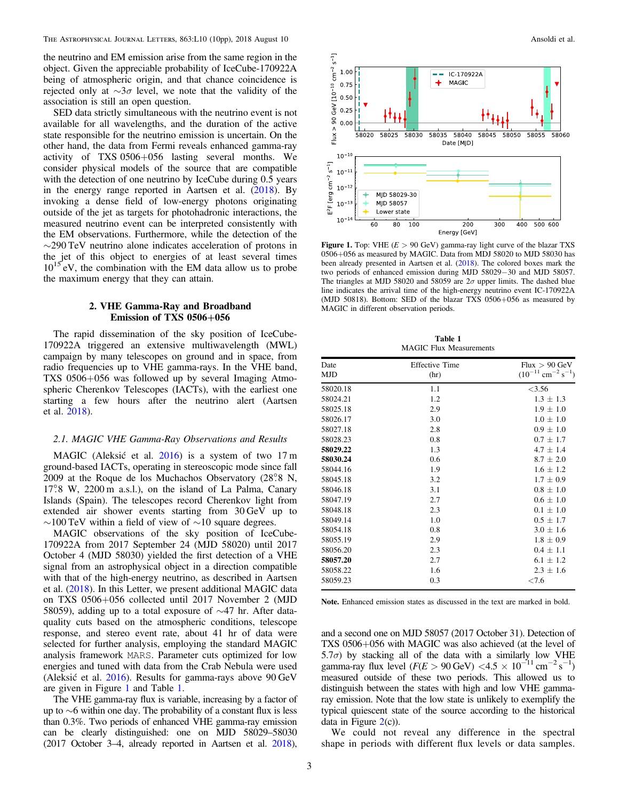<span id="page-2-0"></span>the neutrino and EM emission arise from the same region in the object. Given the appreciable probability of IceCube-170922A being of atmospheric origin, and that chance coincidence is rejected only at  $\sim$ 3σ level, we note that the validity of the association is still an open question.

SED data strictly simultaneous with the neutrino event is not available for all wavelengths, and the duration of the active state responsible for the neutrino emission is uncertain. On the other hand, the data from Fermi reveals enhanced gamma-ray activity of TXS 0506+056 lasting several months. We consider physical models of the source that are compatible with the detection of one neutrino by IceCube during 0.5 years in the energy range reported in Aartsen et al. ([2018](#page-8-0)). By invoking a dense field of low-energy photons originating outside of the jet as targets for photohadronic interactions, the measured neutrino event can be interpreted consistently with the EM observations. Furthermore, while the detection of the ∼290 TeV neutrino alone indicates acceleration of protons in the jet of this object to energies of at least several times  $10^{15}$  eV, the combination with the EM data allow us to probe the maximum energy that they can attain.

# 2. VHE Gamma-Ray and Broadband Emission of TXS 0506+056

The rapid dissemination of the sky position of IceCube-170922A triggered an extensive multiwavelength (MWL) campaign by many telescopes on ground and in space, from radio frequencies up to VHE gamma-rays. In the VHE band, TXS 0506+056 was followed up by several Imaging Atmospheric Cherenkov Telescopes (IACTs), with the earliest one starting a few hours after the neutrino alert (Aartsen et al. [2018](#page-8-0)).

# 2.1. MAGIC VHE Gamma-Ray Observations and Results

MAGIC (Aleksić et al. [2016](#page-8-0)) is a system of two 17 m ground-based IACTs, operating in stereoscopic mode since fall 2009 at the Roque de los Muchachos Observatory (28°.8 N, 17°.8 W, 2200 m a.s.l.), on the island of La Palma, Canary Islands (Spain). The telescopes record Cherenkov light from extended air shower events starting from 30 GeV up to  $\sim$ 100 TeV within a field of view of  $\sim$ 10 square degrees.

MAGIC observations of the sky position of IceCube-170922A from 2017 September 24 (MJD 58020) until 2017 October 4 (MJD 58030) yielded the first detection of a VHE signal from an astrophysical object in a direction compatible with that of the high-energy neutrino, as described in Aartsen et al. ([2018](#page-8-0)). In this Letter, we present additional MAGIC data on TXS 0506+056 collected until 2017 November 2 (MJD 58059), adding up to a total exposure of ∼47 hr. After dataquality cuts based on the atmospheric conditions, telescope response, and stereo event rate, about 41 hr of data were selected for further analysis, employing the standard MAGIC analysis framework MARS. Parameter cuts optimized for low energies and tuned with data from the Crab Nebula were used (Aleksić et al. [2016](#page-8-0)). Results for gamma-rays above 90 GeV are given in Figure 1 and Table 1.

The VHE gamma-ray flux is variable, increasing by a factor of up to ∼6 within one day. The probability of a constant flux is less than 0.3%. Two periods of enhanced VHE gamma-ray emission can be clearly distinguished: one on MJD 58029–58030 (2017 October 3–4, already reported in Aartsen et al. [2018](#page-8-0)),



Figure 1. Top: VHE  $(E > 90 \text{ GeV})$  gamma-ray light curve of the blazar TXS 0506+056 as measured by MAGIC. Data from MDJ 58020 to MJD 58030 has been already presented in Aartsen et al. ([2018](#page-8-0)). The colored boxes mark the two periods of enhanced emission during MJD 58029−30 and MJD 58057. The triangles at MJD 58020 and 58059 are  $2\sigma$  upper limits. The dashed blue line indicates the arrival time of the high-energy neutrino event IC-170922A (MJD 50818). Bottom: SED of the blazar TXS 0506+056 as measured by MAGIC in different observation periods.

Table 1 MAGIC Flux Measurements

| Date<br><b>MJD</b> | <b>Effective Time</b><br>(hr) | Flux > 90 GeV<br>$(10^{-11}$ cm <sup>-2</sup> s <sup>-1</sup> ) |
|--------------------|-------------------------------|-----------------------------------------------------------------|
| 58020.18           | 1.1                           | < 3.56                                                          |
| 58024.21           | 1.2                           | $1.3 \pm 1.3$                                                   |
| 58025.18           | 2.9                           | $1.9 \pm 1.0$                                                   |
| 58026.17           | 3.0                           | $1.0 \pm 1.0$                                                   |
| 58027.18           | 2.8                           | $0.9 \pm 1.0$                                                   |
| 58028.23           | 0.8                           | $0.7 \pm 1.7$                                                   |
| 58029.22           | 1.3                           | $4.7 \pm 1.4$                                                   |
| 58030.24           | 0.6                           | $8.7 \pm 2.0$                                                   |
| 58044.16           | 1.9                           | $1.6 \pm 1.2$                                                   |
| 58045.18           | 3.2                           | $1.7 \pm 0.9$                                                   |
| 58046.18           | 3.1                           | $0.8 \pm 1.0$                                                   |
| 58047.19           | 2.7                           | $0.6 \pm 1.0$                                                   |
| 58048.18           | 2.3                           | $0.1 + 1.0$                                                     |
| 58049.14           | 1.0                           | $0.5 \pm 1.7$                                                   |
| 58054.18           | 0.8                           | $3.0 \pm 1.6$                                                   |
| 58055.19           | 2.9                           | $1.8 \pm 0.9$                                                   |
| 58056.20           | 2.3                           | $0.4 \pm 1.1$                                                   |
| 58057.20           | 2.7                           | $6.1 \pm 1.2$                                                   |
| 58058.22           | 1.6                           | $2.3 \pm 1.6$                                                   |
| 58059.23           | 0.3                           | ${<}7.6$                                                        |

Note. Enhanced emission states as discussed in the text are marked in bold.

and a second one on MJD 58057 (2017 October 31). Detection of TXS 0506+056 with MAGIC was also achieved (at the level of  $5.7\sigma$ ) by stacking all of the data with a similarly low VHE gamma-ray flux level  $(F(E > 90 \text{ GeV}) < 4.5 \times 10^{-11} \text{ cm}^{-2} \text{ s}^{-1})$ measured outside of these two periods. This allowed us to distinguish between the states with high and low VHE gammaray emission. Note that the low state is unlikely to exemplify the typical quiescent state of the source according to the historical data in Figure  $2(c)$  $2(c)$ ).

We could not reveal any difference in the spectral shape in periods with different flux levels or data samples.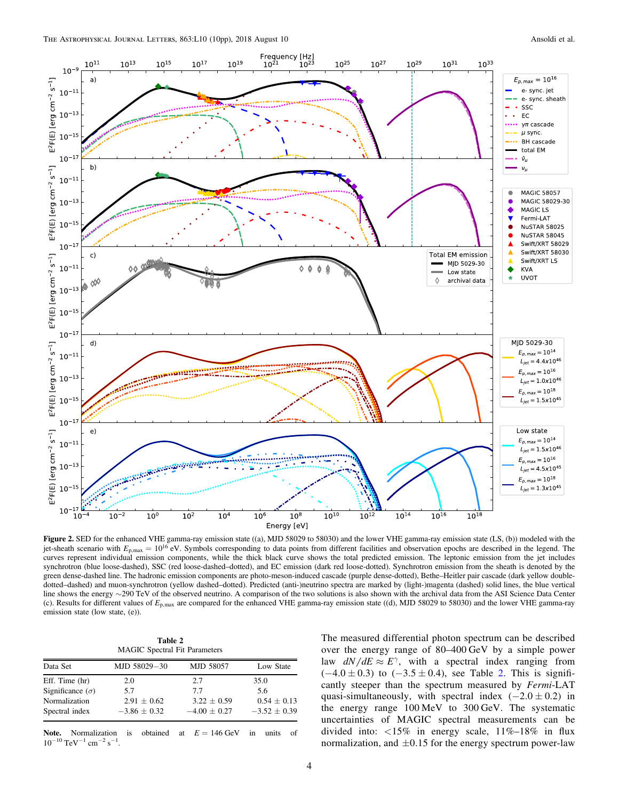<span id="page-3-0"></span>

Figure 2. SED for the enhanced VHE gamma-ray emission state ((a), MJD 58029 to 58030) and the lower VHE gamma-ray emission state (LS, (b)) modeled with the jet-sheath scenario with  $E_{p, max} = 10^{16}$  eV. Symbols corresponding to data points from different facilities and observation epochs are described in the legend. The curves represent individual emission components, while the thick black curve shows the total predicted emission. The leptonic emission from the jet includes synchrotron (blue loose-dashed), SSC (red loose-dashed–dotted), and EC emission (dark red loose-dotted). Synchrotron emission from the sheath is denoted by the green dense-dashed line. The hadronic emission components are photo-meson-induced cascade (purple dense-dotted), Bethe–Heitler pair cascade (dark yellow doubledotted–dashed) and muon-synchrotron (yellow dashed–dotted). Predicted (anti-)neutrino spectra are marked by (light-)magenta (dashed) solid lines, the blue vertical line shows the energy ∼290 TeV of the observed neutrino. A comparison of the two solutions is also shown with the archival data from the ASI Science Data Center (c). Results for different values of *E*p,max are compared for the enhanced VHE gamma-ray emission state ((d), MJD 58029 to 58030) and the lower VHE gamma-ray emission state (low state, (e)).

Table 2 MAGIC Spectral Fit Parameters

| Data Set                | MJD 58029-30     | <b>MJD 58057</b> | Low State        |
|-------------------------|------------------|------------------|------------------|
| Eff. Time (hr)          | 2.0              | 2.7              | 35.0             |
| Significance $(\sigma)$ | 5.7              | 7.7              | 5.6              |
| Normalization           | $2.91 \pm 0.62$  | $3.22 \pm 0.59$  | $0.54 \pm 0.13$  |
| Spectral index          | $-3.86 \pm 0.32$ | $-4.00 \pm 0.27$ | $-3.52 \pm 0.39$ |

Note. Normalization is obtained at  $E = 146$  GeV in units of  $10^{-10}$  TeV<sup>-1</sup> cm<sup>-2</sup> s<sup>-1</sup>.

The measured differential photon spectrum can be described over the energy range of 80–400 GeV by a simple power law  $dN/dE \approx E^{\gamma}$ , with a spectral index ranging from  $(-4.0 \pm 0.3)$  to  $(-3.5 \pm 0.4)$ , see Table 2. This is significantly steeper than the spectrum measured by Fermi-LAT quasi-simultaneously, with spectral index  $(-2.0 \pm 0.2)$  in the energy range 100 MeV to 300 GeV. The systematic uncertainties of MAGIC spectral measurements can be divided into:  $\langle 15\%$  in energy scale,  $11\%$ -18% in flux normalization, and  $\pm 0.15$  for the energy spectrum power-law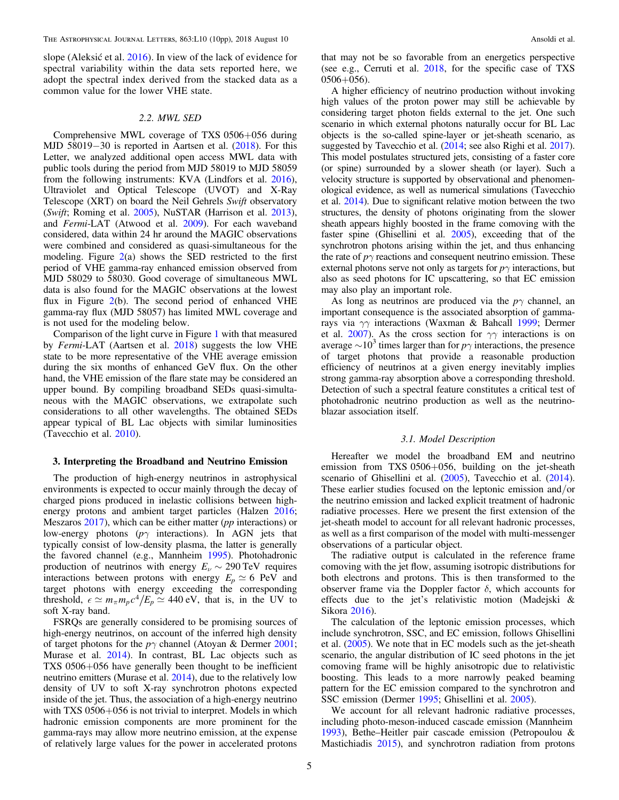<span id="page-4-0"></span>slope (Aleksić et al. [2016](#page-8-0)). In view of the lack of evidence for spectral variability within the data sets reported here, we adopt the spectral index derived from the stacked data as a common value for the lower VHE state.

## 2.2. MWL SED

Comprehensive MWL coverage of TXS 0506+056 during MJD 58019−30 is reported in Aartsen et al. ([2018](#page-8-0)). For this Letter, we analyzed additional open access MWL data with public tools during the period from MJD 58019 to MJD 58059 from the following instruments: KVA (Lindfors et al. [2016](#page-8-0)), Ultraviolet and Optical Telescope (UVOT) and X-Ray Telescope (XRT) on board the Neil Gehrels Swift observatory (Swift; Roming et al. [2005](#page-9-0)), NuSTAR (Harrison et al. [2013](#page-8-0)), and Fermi-LAT (Atwood et al. [2009](#page-8-0)). For each waveband considered, data within 24 hr around the MAGIC observations were combined and considered as quasi-simultaneous for the modeling. Figure  $2(a)$  $2(a)$  shows the SED restricted to the first period of VHE gamma-ray enhanced emission observed from MJD 58029 to 58030. Good coverage of simultaneous MWL data is also found for the MAGIC observations at the lowest flux in Figure  $2(b)$  $2(b)$ . The second period of enhanced VHE gamma-ray flux (MJD 58057) has limited MWL coverage and is not used for the modeling below.

Comparison of the light curve in Figure [1](#page-2-0) with that measured by Fermi-LAT (Aartsen et al. [2018](#page-8-0)) suggests the low VHE state to be more representative of the VHE average emission during the six months of enhanced GeV flux. On the other hand, the VHE emission of the flare state may be considered an upper bound. By compiling broadband SEDs quasi-simultaneous with the MAGIC observations, we extrapolate such considerations to all other wavelengths. The obtained SEDs appear typical of BL Lac objects with similar luminosities (Tavecchio et al. [2010](#page-9-0)).

# 3. Interpreting the Broadband and Neutrino Emission

The production of high-energy neutrinos in astrophysical environments is expected to occur mainly through the decay of charged pions produced in inelastic collisions between high-energy protons and ambient target particles (Halzen [2016](#page-8-0); Meszaros [2017](#page-9-0)), which can be either matter (pp interactions) or low-energy photons ( $p\gamma$  interactions). In AGN jets that typically consist of low-density plasma, the latter is generally the favored channel (e.g., Mannheim [1995](#page-8-0)). Photohadronic production of neutrinos with energy  $E_{\nu} \sim 290 \text{ TeV}$  requires interactions between protons with energy  $E_p \simeq 6$  PeV and target photons with energy exceeding the corresponding threshold,  $\epsilon \simeq m_{\pi} m_p c^4 / E_p \simeq 440 \text{ eV}$ , that is, in the UV to soft X-ray band.

FSRQs are generally considered to be promising sources of high-energy neutrinos, on account of the inferred high density of target photons for the  $p\gamma$  channel (Atoyan & Dermer [2001](#page-8-0); Murase et al. [2014](#page-9-0)). In contrast, BL Lac objects such as TXS 0506+056 have generally been thought to be inefficient neutrino emitters (Murase et al. [2014](#page-9-0)), due to the relatively low density of UV to soft X-ray synchrotron photons expected inside of the jet. Thus, the association of a high-energy neutrino with TXS 0506+056 is not trivial to interpret. Models in which hadronic emission components are more prominent for the gamma-rays may allow more neutrino emission, at the expense of relatively large values for the power in accelerated protons

that may not be so favorable from an energetics perspective (see e.g., Cerruti et al. [2018,](#page-8-0) for the specific case of TXS 0506+056).

A higher efficiency of neutrino production without invoking high values of the proton power may still be achievable by considering target photon fields external to the jet. One such scenario in which external photons naturally occur for BL Lac objects is the so-called spine-layer or jet-sheath scenario, as suggested by Tavecchio et al. ([2014;](#page-9-0) see also Righi et al. [2017](#page-9-0)). This model postulates structured jets, consisting of a faster core (or spine) surrounded by a slower sheath (or layer). Such a velocity structure is supported by observational and phenomenological evidence, as well as numerical simulations (Tavecchio et al. [2014](#page-9-0)). Due to significant relative motion between the two structures, the density of photons originating from the slower sheath appears highly boosted in the frame comoving with the faster spine (Ghisellini et al. [2005](#page-8-0)), exceeding that of the synchrotron photons arising within the jet, and thus enhancing the rate of  $p\gamma$  reactions and consequent neutrino emission. These external photons serve not only as targets for  $p\gamma$  interactions, but also as seed photons for IC upscattering, so that EC emission may also play an important role.

As long as neutrinos are produced via the  $p\gamma$  channel, an important consequence is the associated absorption of gammarays via γγ interactions (Waxman & Bahcall [1999;](#page-9-0) Dermer et al. [2007](#page-8-0)). As the cross section for  $\gamma\gamma$  interactions is on average  $\sim 10^3$  times larger than for  $p\gamma$  interactions, the presence of target photons that provide a reasonable production efficiency of neutrinos at a given energy inevitably implies strong gamma-ray absorption above a corresponding threshold. Detection of such a spectral feature constitutes a critical test of photohadronic neutrino production as well as the neutrinoblazar association itself.

#### 3.1. Model Description

Hereafter we model the broadband EM and neutrino emission from TXS 0506+056, building on the jet-sheath scenario of Ghisellini et al. ([2005](#page-8-0)), Tavecchio et al. ([2014](#page-9-0)). These earlier studies focused on the leptonic emission and/or the neutrino emission and lacked explicit treatment of hadronic radiative processes. Here we present the first extension of the jet-sheath model to account for all relevant hadronic processes, as well as a first comparison of the model with multi-messenger observations of a particular object.

The radiative output is calculated in the reference frame comoving with the jet flow, assuming isotropic distributions for both electrons and protons. This is then transformed to the observer frame via the Doppler factor  $\delta$ , which accounts for effects due to the jet's relativistic motion (Madejski & Sikora [2016](#page-8-0)).

The calculation of the leptonic emission processes, which include synchrotron, SSC, and EC emission, follows Ghisellini et al. ([2005](#page-8-0)). We note that in EC models such as the jet-sheath scenario, the angular distribution of IC seed photons in the jet comoving frame will be highly anisotropic due to relativistic boosting. This leads to a more narrowly peaked beaming pattern for the EC emission compared to the synchrotron and SSC emission (Dermer [1995;](#page-8-0) Ghisellini et al. [2005](#page-8-0)).

We account for all relevant hadronic radiative processes, including photo-meson-induced cascade emission (Mannheim [1993](#page-8-0)), Bethe–Heitler pair cascade emission (Petropoulou & Mastichiadis [2015](#page-9-0)), and synchrotron radiation from protons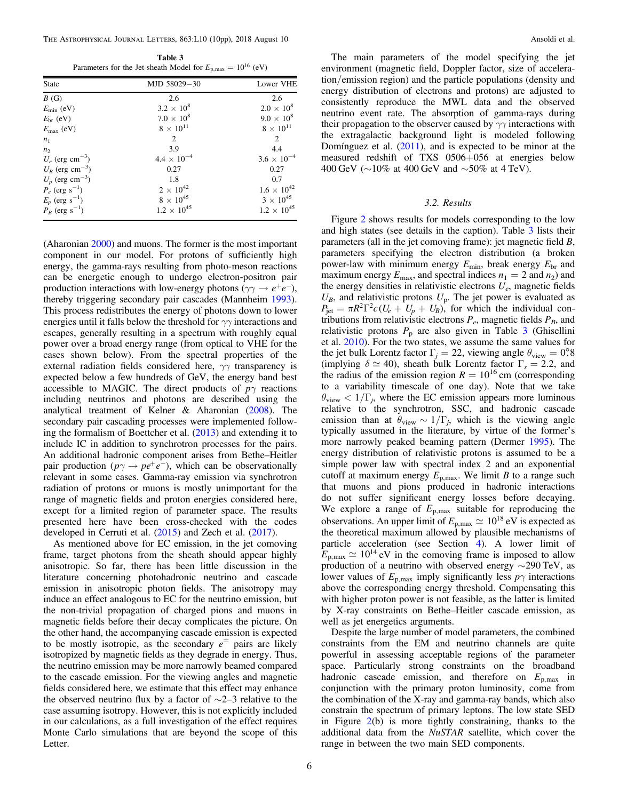<span id="page-5-0"></span>Table 3 Parameters for the Jet-sheath Model for  $E_{p,\text{max}} = 10^{16}$  (eV)

| <b>State</b>                  | MJD 58029-30         | Lower VHE            |
|-------------------------------|----------------------|----------------------|
| B(G)                          | 2.6                  | 2.6                  |
| $E_{\rm min}$ (eV)            | $3.2 \times 10^8$    | $2.0 \times 10^8$    |
| $E_{\rm br}$ (eV)             | $7.0 \times 10^8$    | $9.0 \times 10^8$    |
| $E_{\text{max}}$ (eV)         | $8 \times 10^{11}$   | $8 \times 10^{11}$   |
| n <sub>1</sub>                | $\mathfrak{D}$       | 2                    |
| n <sub>2</sub>                | 3.9                  | 4.4                  |
| $U_e$ (erg cm <sup>-3</sup> ) | $4.4 \times 10^{-4}$ | $3.6 \times 10^{-4}$ |
| $U_B$ (erg cm <sup>-3</sup> ) | 0.27                 | 0.27                 |
| $U_p$ (erg cm <sup>-3</sup> ) | 1.8                  | 0.7                  |
| $P_e$ (erg s <sup>-1</sup> )  | $2 \times 10^{42}$   | $1.6 \times 10^{42}$ |
| $E_p$ (erg s <sup>-1</sup> )  | $8 \times 10^{45}$   | $3 \times 10^{45}$   |
| $P_B$ (erg s <sup>-1</sup> )  | $1.2 \times 10^{45}$ | $1.2 \times 10^{45}$ |

(Aharonian [2000](#page-8-0)) and muons. The former is the most important component in our model. For protons of sufficiently high energy, the gamma-rays resulting from photo-meson reactions can be energetic enough to undergo electron-positron pair production interactions with low-energy photons ( $\gamma \gamma \rightarrow e^+ e^-$ ), thereby triggering secondary pair cascades (Mannheim [1993](#page-8-0)). This process redistributes the energy of photons down to lower energies until it falls below the threshold for  $\gamma\gamma$  interactions and escapes, generally resulting in a spectrum with roughly equal power over a broad energy range (from optical to VHE for the cases shown below). From the spectral properties of the external radiation fields considered here,  $\gamma\gamma$  transparency is expected below a few hundreds of GeV, the energy band best accessible to MAGIC. The direct products of  $p\gamma$  reactions including neutrinos and photons are described using the analytical treatment of Kelner & Aharonian ([2008](#page-8-0)). The secondary pair cascading processes were implemented following the formalism of Boettcher et al. ([2013](#page-8-0)) and extending it to include IC in addition to synchrotron processes for the pairs. An additional hadronic component arises from Bethe–Heitler pair production ( $p\gamma \rightarrow pe^+e^-$ ), which can be observationally relevant in some cases. Gamma-ray emission via synchrotron radiation of protons or muons is mostly unimportant for the range of magnetic fields and proton energies considered here, except for a limited region of parameter space. The results presented here have been cross-checked with the codes developed in Cerruti et al. ([2015](#page-8-0)) and Zech et al. ([2017](#page-9-0)).

As mentioned above for EC emission, in the jet comoving frame, target photons from the sheath should appear highly anisotropic. So far, there has been little discussion in the literature concerning photohadronic neutrino and cascade emission in anisotropic photon fields. The anisotropy may induce an effect analogous to EC for the neutrino emission, but the non-trivial propagation of charged pions and muons in magnetic fields before their decay complicates the picture. On the other hand, the accompanying cascade emission is expected to be mostly isotropic, as the secondary  $e^{\pm}$  pairs are likely isotropized by magnetic fields as they degrade in energy. Thus, the neutrino emission may be more narrowly beamed compared to the cascade emission. For the viewing angles and magnetic fields considered here, we estimate that this effect may enhance the observed neutrino flux by a factor of ∼2–3 relative to the case assuming isotropy. However, this is not explicitly included in our calculations, as a full investigation of the effect requires Monte Carlo simulations that are beyond the scope of this Letter.

The main parameters of the model specifying the jet environment (magnetic field, Doppler factor, size of acceleration/emission region) and the particle populations (density and energy distribution of electrons and protons) are adjusted to consistently reproduce the MWL data and the observed neutrino event rate. The absorption of gamma-rays during their propagation to the observer caused by  $\gamma\gamma$  interactions with the extragalactic background light is modeled following Domínguez et al.  $(2011)$  $(2011)$  $(2011)$ , and is expected to be minor at the measured redshift of TXS 0506+056 at energies below 400 GeV (∼10% at 400 GeV and ∼50% at 4 TeV).

# 3.2. Results

Figure [2](#page-3-0) shows results for models corresponding to the low and high states (see details in the caption). Table 3 lists their parameters (all in the jet comoving frame): jet magnetic field B, parameters specifying the electron distribution (a broken power-law with minimum energy  $E_{\text{min}}$ , break energy  $E_{\text{br}}$  and maximum energy  $E_{\text{max}}$ , and spectral indices  $n_1 = 2$  and  $n_2$ ) and the energy densities in relativistic electrons  $U_e$ , magnetic fields  $U_B$ , and relativistic protons  $U_p$ . The jet power is evaluated as  $P_{\rm jet} = \pi R^2 \Gamma^2 c (U_e + U_p + U_B)$ , for which the individual contributions from relativistic electrons  $P_e$ , magnetic fields  $P_B$ , and relativistic protons  $P_p$  are also given in Table 3 (Ghisellini et al. [2010](#page-8-0)). For the two states, we assume the same values for the jet bulk Lorentz factor  $\Gamma_i = 22$ , viewing angle  $\theta_{\text{view}} = 0^{\circ}8$ (implying  $\delta \simeq 40$ ), sheath bulk Lorentz factor  $\Gamma_s = 2.2$ , and the radius of the emission region  $R = 10^{16}$  cm (corresponding to a variability timescale of one day). Note that we take  $\theta_{\text{view}} < 1/\Gamma_i$ , where the EC emission appears more luminous relative to the synchrotron, SSC, and hadronic cascade emission than at  $\theta_{\text{view}} \sim 1/\Gamma_i$ , which is the viewing angle typically assumed in the literature, by virtue of the former's more narrowly peaked beaming pattern (Dermer [1995](#page-8-0)). The energy distribution of relativistic protons is assumed to be a simple power law with spectral index 2 and an exponential cutoff at maximum energy  $E_{p,\text{max}}$ . We limit B to a range such that muons and pions produced in hadronic interactions do not suffer significant energy losses before decaying. We explore a range of  $E_{p,\text{max}}$  suitable for reproducing the observations. An upper limit of  $E_{p,\text{max}} \simeq 10^{18} \text{ eV}$  is expected as the theoretical maximum allowed by plausible mechanisms of particle acceleration (see Section [4](#page-6-0)). A lower limit of  $E_{\text{p,max}} \simeq 10^{14} \text{ eV}$  in the comoving frame is imposed to allow production of a neutrino with observed energy ∼290 TeV, as lower values of  $E_{p,\text{max}}$  imply significantly less  $p\gamma$  interactions above the corresponding energy threshold. Compensating this with higher proton power is not feasible, as the latter is limited by X-ray constraints on Bethe–Heitler cascade emission, as well as jet energetics arguments.

Despite the large number of model parameters, the combined constraints from the EM and neutrino channels are quite powerful in assessing acceptable regions of the parameter space. Particularly strong constraints on the broadband hadronic cascade emission, and therefore on  $E_{p,\text{max}}$  in conjunction with the primary proton luminosity, come from the combination of the X-ray and gamma-ray bands, which also constrain the spectrum of primary leptons. The low state SED in Figure [2](#page-3-0)(b) is more tightly constraining, thanks to the additional data from the NuSTAR satellite, which cover the range in between the two main SED components.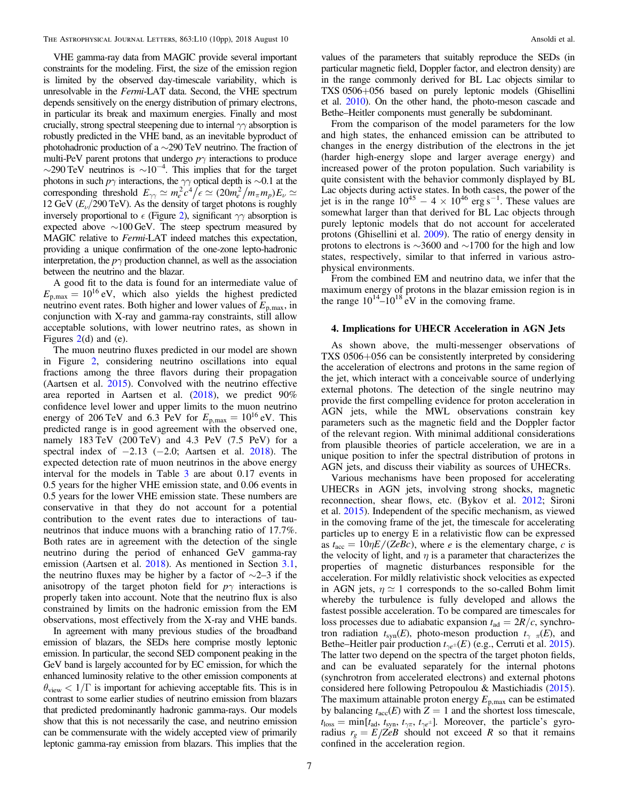<span id="page-6-0"></span>VHE gamma-ray data from MAGIC provide several important constraints for the modeling. First, the size of the emission region is limited by the observed day-timescale variability, which is unresolvable in the Fermi-LAT data. Second, the VHE spectrum depends sensitively on the energy distribution of primary electrons, in particular its break and maximum energies. Finally and most crucially, strong spectral steepening due to internal  $\gamma\gamma$  absorption is robustly predicted in the VHE band, as an inevitable byproduct of photohadronic production of a ∼290 TeV neutrino. The fraction of multi-PeV parent protons that undergo  $p\gamma$  interactions to produce  $\sim$ 290 TeV neutrinos is  $\sim$ 10<sup>-4</sup>. This implies that for the target photons in such  $p\gamma$  interactions, the  $\gamma\gamma$  optical depth is ∼0.1 at the corresponding threshold  $E_{\gamma\gamma} \simeq m_e^2 c^4 / \epsilon \simeq (20 m_e^2 / m_\pi m_p) E_\nu \simeq$ 12 GeV  $(E_{\nu}/290 \text{ TeV})$ . As the density of target photons is roughly inversely proportional to  $\epsilon$  (Figure [2](#page-3-0)), significant  $\gamma\gamma$  absorption is expected above ∼100 GeV. The steep spectrum measured by MAGIC relative to Fermi-LAT indeed matches this expectation, providing a unique confirmation of the one-zone lepto-hadronic interpretation, the  $p\gamma$  production channel, as well as the association between the neutrino and the blazar.

A good fit to the data is found for an intermediate value of  $E_{\text{p,max}} = 10^{16} \text{ eV}$ , which also yields the highest predicted neutrino event rates. Both higher and lower values of  $E_{p,\text{max}}$ , in conjunction with X-ray and gamma-ray constraints, still allow acceptable solutions, with lower neutrino rates, as shown in Figures [2](#page-3-0)(d) and (e).

The muon neutrino fluxes predicted in our model are shown in Figure [2,](#page-3-0) considering neutrino oscillations into equal fractions among the three flavors during their propagation (Aartsen et al. [2015](#page-8-0)). Convolved with the neutrino effective area reported in Aartsen et al. ([2018](#page-8-0)), we predict 90% confidence level lower and upper limits to the muon neutrino energy of 206 TeV and 6.3 PeV for  $E_{p,\text{max}} = 10^{16} \text{ eV}$ . This predicted range is in good agreement with the observed one, namely 183 TeV (200 TeV) and 4.3 PeV (7.5 PeV) for a spectral index of  $-2.13$  ( $-2.0$ ; Aartsen et al. [2018](#page-8-0)). The expected detection rate of muon neutrinos in the above energy interval for the models in Table [3](#page-5-0) are about 0.17 events in 0.5 years for the higher VHE emission state, and 0.06 events in 0.5 years for the lower VHE emission state. These numbers are conservative in that they do not account for a potential contribution to the event rates due to interactions of tauneutrinos that induce muons with a branching ratio of 17.7%. Both rates are in agreement with the detection of the single neutrino during the period of enhanced GeV gamma-ray emission (Aartsen et al. [2018](#page-8-0)). As mentioned in Section [3.1,](#page-4-0) the neutrino fluxes may be higher by a factor of  $\sim$ 2–3 if the anisotropy of the target photon field for  $p\gamma$  interactions is properly taken into account. Note that the neutrino flux is also constrained by limits on the hadronic emission from the EM observations, most effectively from the X-ray and VHE bands.

In agreement with many previous studies of the broadband emission of blazars, the SEDs here comprise mostly leptonic emission. In particular, the second SED component peaking in the GeV band is largely accounted for by EC emission, for which the enhanced luminosity relative to the other emission components at  $\theta_{\text{view}} < 1/\Gamma$  is important for achieving acceptable fits. This is in contrast to some earlier studies of neutrino emission from blazars that predicted predominantly hadronic gamma-rays. Our models show that this is not necessarily the case, and neutrino emission can be commensurate with the widely accepted view of primarily leptonic gamma-ray emission from blazars. This implies that the

values of the parameters that suitably reproduce the SEDs (in particular magnetic field, Doppler factor, and electron density) are in the range commonly derived for BL Lac objects similar to TXS 0506+056 based on purely leptonic models (Ghisellini et al. [2010](#page-8-0)). On the other hand, the photo-meson cascade and Bethe–Heitler components must generally be subdominant.

From the comparison of the model parameters for the low and high states, the enhanced emission can be attributed to changes in the energy distribution of the electrons in the jet (harder high-energy slope and larger average energy) and increased power of the proton population. Such variability is quite consistent with the behavior commonly displayed by BL Lac objects during active states. In both cases, the power of the jet is in the range  $10^{45} - 4 \times 10^{46}$  erg s<sup>-1</sup>. These values are somewhat larger than that derived for BL Lac objects through purely leptonic models that do not account for accelerated protons (Ghisellini et al. [2009](#page-8-0)). The ratio of energy density in protons to electrons is ∼3600 and ∼1700 for the high and low states, respectively, similar to that inferred in various astrophysical environments.

From the combined EM and neutrino data, we infer that the maximum energy of protons in the blazar emission region is in the range  $10^{14}$ – $10^{18}$  eV in the comoving frame.

# 4. Implications for UHECR Acceleration in AGN Jets

As shown above, the multi-messenger observations of TXS 0506+056 can be consistently interpreted by considering the acceleration of electrons and protons in the same region of the jet, which interact with a conceivable source of underlying external photons. The detection of the single neutrino may provide the first compelling evidence for proton acceleration in AGN jets, while the MWL observations constrain key parameters such as the magnetic field and the Doppler factor of the relevant region. With minimal additional considerations from plausible theories of particle acceleration, we are in a unique position to infer the spectral distribution of protons in AGN jets, and discuss their viability as sources of UHECRs.

Various mechanisms have been proposed for accelerating UHECRs in AGN jets, involving strong shocks, magnetic reconnection, shear flows, etc. (Bykov et al. [2012](#page-8-0); Sironi et al. [2015](#page-9-0)). Independent of the specific mechanism, as viewed in the comoving frame of the jet, the timescale for accelerating particles up to energy E in a relativistic flow can be expressed as  $t_{\text{acc}} = 10\eta E/(ZeBc)$ , where *e* is the elementary charge, *c* is the velocity of light, and  $\eta$  is a parameter that characterizes the properties of magnetic disturbances responsible for the acceleration. For mildly relativistic shock velocities as expected in AGN jets,  $\eta \simeq 1$  corresponds to the so-called Bohm limit whereby the turbulence is fully developed and allows the fastest possible acceleration. To be compared are timescales for loss processes due to adiabatic expansion  $t_{ad} = 2R/c$ , synchrotron radiation  $t_{syn}(E)$ , photo-meson production  $t_{\gamma}$   $\pi(E)$ , and Bethe–Heitler pair production  $t_{\gamma e^{\pm}}(E)$  (e.g., Cerruti et al. [2015](#page-8-0)). The latter two depend on the spectra of the target photon fields, and can be evaluated separately for the internal photons (synchrotron from accelerated electrons) and external photons considered here following Petropoulou & Mastichiadis ([2015](#page-9-0)). The maximum attainable proton energy  $E_{p,\text{max}}$  can be estimated by balancing  $t_{\text{acc}}(E)$  with  $Z = 1$  and the shortest loss timescale,  $t_{\text{loss}} = \min[t_{\text{ad}}, t_{\text{syn}}, t_{\gamma\pi}, t_{\gamma e^{\pm}}]$ . Moreover, the particle's gyroradius  $r_g = E/ZeB$  should not exceed R so that it remains confined in the acceleration region.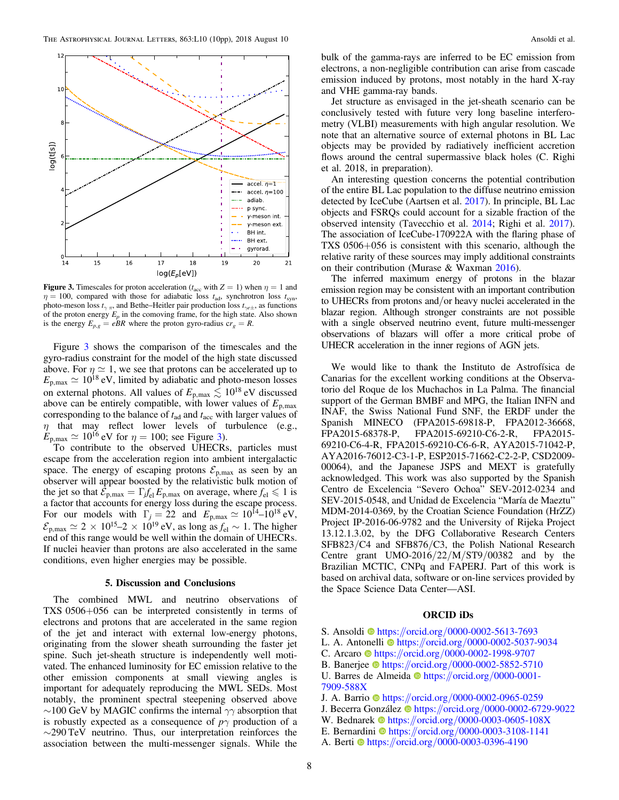

Figure 3. Timescales for proton acceleration ( $t_{\text{acc}}$  with  $Z = 1$ ) when  $\eta = 1$  and  $\eta = 100$ , compared with those for adiabatic loss  $t_{\text{ad}}$ , synchrotron loss  $t_{\text{syn}}$ , photo-meson loss  $t_{\gamma \pi}$ , and Bethe–Heitler pair production loss  $t_{\gamma e \pm}$ , as functions of the proton energy  $E_p$  in the comoving frame, for the high state. Also shown is the energy  $E_{p,g} = eBR$  where the proton gyro-radius  $cr_g = R$ .

Figure 3 shows the comparison of the timescales and the gyro-radius constraint for the model of the high state discussed above. For  $\eta \simeq 1$ , we see that protons can be accelerated up to  $E_{p,\text{max}} \simeq 10^{18} \text{ eV}$ , limited by adiabatic and photo-meson losses on external photons. All values of  $E_{p,\text{max}} \lesssim 10^{18} \text{ eV}$  discussed above can be entirely compatible, with lower values of  $E_{p,\text{max}}$ corresponding to the balance of  $t_{ad}$  and  $t_{acc}$  with larger values of  $\eta$  that may reflect lower levels of turbulence (e.g.,  $E_{\text{p,max}} \simeq 10^{16}$  eV for  $\eta = 100$ ; see Figure 3).

To contribute to the observed UHECRs, particles must escape from the acceleration region into ambient intergalactic space. The energy of escaping protons  $\mathcal{E}_{p,\text{max}}$  as seen by an observer will appear boosted by the relativistic bulk motion of the jet so that  $\mathcal{E}_{p,\text{max}} = \Gamma_j f_{el} E_{p,\text{max}}$  on average, where  $f_{el} \leq 1$  is a factor that accounts for energy loss during the escape process. For our models with  $\Gamma_j = 22$  and  $E_{p,\text{max}} \simeq 10^{14} - 10^{18} \text{ eV}$ ,  $\mathcal{E}_{p,\text{max}} \simeq 2 \times 10^{15} - 2 \times 10^{19} \text{ eV}$ , as long as  $f_{\text{el}} \sim 1$ . The higher end of this range would be well within the domain of UHECRs. If nuclei heavier than protons are also accelerated in the same conditions, even higher energies may be possible.

# 5. Discussion and Conclusions

The combined MWL and neutrino observations of TXS 0506+056 can be interpreted consistently in terms of electrons and protons that are accelerated in the same region of the jet and interact with external low-energy photons, originating from the slower sheath surrounding the faster jet spine. Such jet-sheath structure is independently well motivated. The enhanced luminosity for EC emission relative to the other emission components at small viewing angles is important for adequately reproducing the MWL SEDs. Most notably, the prominent spectral steepening observed above  $\sim$ 100 GeV by MAGIC confirms the internal  $\gamma\gamma$  absorption that is robustly expected as a consequence of  $p\gamma$  production of a  $\sim$ 290 TeV neutrino. Thus, our interpretation reinforces the association between the multi-messenger signals. While the

bulk of the gamma-rays are inferred to be EC emission from electrons, a non-negligible contribution can arise from cascade emission induced by protons, most notably in the hard X-ray and VHE gamma-ray bands.

Jet structure as envisaged in the jet-sheath scenario can be conclusively tested with future very long baseline interferometry (VLBI) measurements with high angular resolution. We note that an alternative source of external photons in BL Lac objects may be provided by radiatively inefficient accretion flows around the central supermassive black holes (C. Righi et al. 2018, in preparation).

An interesting question concerns the potential contribution of the entire BL Lac population to the diffuse neutrino emission detected by IceCube (Aartsen et al. [2017](#page-8-0)). In principle, BL Lac objects and FSRQs could account for a sizable fraction of the observed intensity (Tavecchio et al. [2014](#page-9-0); Righi et al. [2017](#page-9-0)). The association of IceCube-170922A with the flaring phase of TXS 0506+056 is consistent with this scenario, although the relative rarity of these sources may imply additional constraints on their contribution (Murase & Waxman [2016](#page-9-0)).

The inferred maximum energy of protons in the blazar emission region may be consistent with an important contribution to UHECRs from protons and/or heavy nuclei accelerated in the blazar region. Although stronger constraints are not possible with a single observed neutrino event, future multi-messenger observations of blazars will offer a more critical probe of UHECR acceleration in the inner regions of AGN jets.

We would like to thank the Instituto de Astrofísica de Canarias for the excellent working conditions at the Observatorio del Roque de los Muchachos in La Palma. The financial support of the German BMBF and MPG, the Italian INFN and INAF, the Swiss National Fund SNF, the ERDF under the Spanish MINECO (FPA2015-69818-P, FPA2012-36668, FPA2015-68378-P, FPA2015-69210-C6-2-R, FPA2015- 69210-C6-4-R, FPA2015-69210-C6-6-R, AYA2015-71042-P, AYA2016-76012-C3-1-P, ESP2015-71662-C2-2-P, CSD2009- 00064), and the Japanese JSPS and MEXT is gratefully acknowledged. This work was also supported by the Spanish Centro de Excelencia "Severo Ochoa" SEV-2012-0234 and SEV-2015-0548, and Unidad de Excelencia "María de Maeztu" MDM-2014-0369, by the Croatian Science Foundation (HrZZ) Project IP-2016-06-9782 and the University of Rijeka Project 13.12.1.3.02, by the DFG Collaborative Research Centers SFB823/C4 and SFB876/C3, the Polish National Research Centre grant UMO-2016/22/M/ST9/00382 and by the Brazilian MCTIC, CNPq and FAPERJ. Part of this work is based on archival data, software or on-line services provided by the Space Science Data Center—ASI.

# ORCID iDs

- S. Ansoldi **[https:](https://orcid.org/0000-0002-5613-7693)//orcid.org/[0000-0002-5613-7693](https://orcid.org/0000-0002-5613-7693)**
- L. A. Antonelli @ [https:](https://orcid.org/0000-0002-5037-9034)//orcid.org/[0000-0002-5037-9034](https://orcid.org/0000-0002-5037-9034)
- C. Arcaro **[https:](https://orcid.org/0000-0002-1998-9707)//orcid.org/[0000-0002-1998-9707](https://orcid.org/0000-0002-1998-9707)**
- B. Banerje[e](https://orcid.org/0000-0002-5852-5710) [https:](https://orcid.org/0000-0002-5852-5710)//orcid.org/[0000-0002-5852-5710](https://orcid.org/0000-0002-5852-5710)
- U. B[a](https://orcid.org/0000-0001-7909-588X)rres de Almeida [https:](https://orcid.org/0000-0001-7909-588X)//orcid.org/[0000-0001-](https://orcid.org/0000-0001-7909-588X) [7909-588X](https://orcid.org/0000-0001-7909-588X)
- J. A. Barrio **[https:](https://orcid.org/0000-0002-0965-0259)//orcid.org/[0000-0002-0965-0259](https://orcid.org/0000-0002-0965-0259)**
- J. Becerra Gon[z](https://orcid.org/0000-0002-6729-9022)ález  $\bullet$  [https:](https://orcid.org/0000-0002-6729-9022)//orcid.org/[0000-0002-6729-9022](https://orcid.org/0000-0002-6729-9022)
- W. Bednarek [https:](https://orcid.org/0000-0003-0605-108X)//orcid.org/[0000-0003-0605-108X](https://orcid.org/0000-0003-0605-108X)
- E. Bernardini  $\Phi$  [https:](https://orcid.org/0000-0003-3108-1141)//orcid.org/[0000-0003-3108-1141](https://orcid.org/0000-0003-3108-1141)
- A. Berti **[https:](https://orcid.org/0000-0003-0396-4190)//orcid.org/[0000-0003-0396-4190](https://orcid.org/0000-0003-0396-4190)**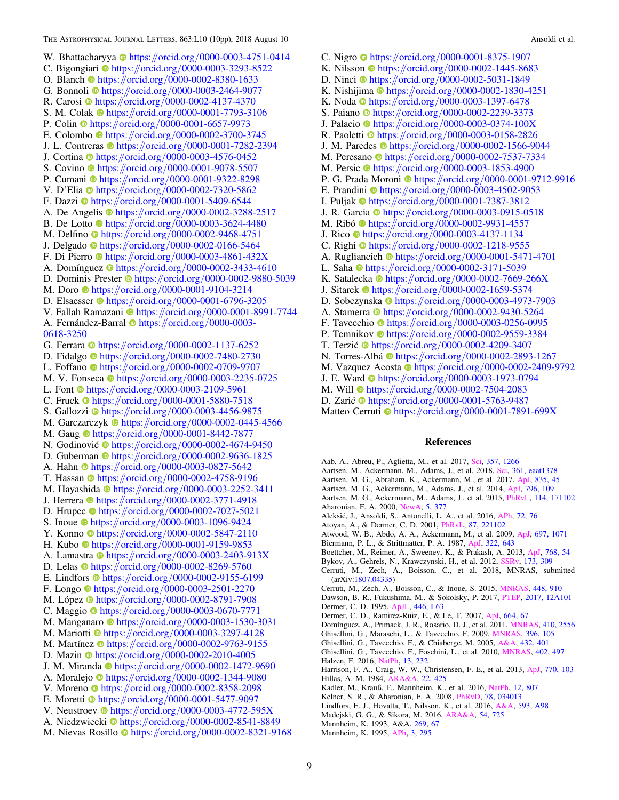<span id="page-8-0"></span>W. Bh[a](https://orcid.org/0000-0003-4751-0414)ttacharyya  $\bullet$  [https:](https://orcid.org/0000-0003-4751-0414)//orcid.org/[0000-0003-4751-0414](https://orcid.org/0000-0003-4751-0414) C. Bigongiari  $\bullet$  [https:](https://orcid.org/0000-0003-3293-8522)//orcid.org/[0000-0003-3293-8522](https://orcid.org/0000-0003-3293-8522) O. Blanch [https:](https://orcid.org/0000-0002-8380-1633)//orcid.org/[0000-0002-8380-1633](https://orcid.org/0000-0002-8380-1633) G. Bonnoli  $\bullet$  [https:](https://orcid.org/0000-0003-2464-9077)//orcid.org/[0000-0003-2464-9077](https://orcid.org/0000-0003-2464-9077) R. Caros[i](https://orcid.org/0000-0002-4137-4370) **[https:](https://orcid.org/0000-0002-4137-4370)//orcid.org/[0000-0002-4137-4370](https://orcid.org/0000-0002-4137-4370)** S. M. Colak  $\bullet$  [https:](https://orcid.org/0000-0001-7793-3106)//orcid.org/[0000-0001-7793-3106](https://orcid.org/0000-0001-7793-3106) P. Coli[n](https://orcid.org/0000-0001-6657-9973) **the [https:](https://orcid.org/0000-0001-6657-9973)**//orcid.org/[0000-0001-6657-9973](https://orcid.org/0000-0001-6657-9973) E. Colombo [https:](https://orcid.org/0000-0002-3700-3745)//orcid.org/[0000-0002-3700-3745](https://orcid.org/0000-0002-3700-3745) J. L. Contreras  $\bullet$  [https:](https://orcid.org/0000-0001-7282-2394)//orcid.org/[0000-0001-7282-2394](https://orcid.org/0000-0001-7282-2394) J. Cortin[a](https://orcid.org/0000-0003-4576-0452) the [https:](https://orcid.org/0000-0003-4576-0452)//orcid.org/[0000-0003-4576-0452](https://orcid.org/0000-0003-4576-0452) S. Covino **●** [https:](https://orcid.org/0000-0001-9078-5507)//orcid.org/[0000-0001-9078-5507](https://orcid.org/0000-0001-9078-5507) P. Cumani **[https:](https://orcid.org/0000-0001-9322-8298)//orcid.org/[0000-0001-9322-8298](https://orcid.org/0000-0001-9322-8298)** V. D'Eli[a](https://orcid.org/0000-0002-7320-5862) **[https:](https://orcid.org/0000-0002-7320-5862)//orcid.org/[0000-0002-7320-5862](https://orcid.org/0000-0002-7320-5862)** F. Dazz[i](https://orcid.org/0000-0001-5409-6544)  $\Phi$  [https:](https://orcid.org/0000-0001-5409-6544)//orcid.org/[0000-0001-5409-6544](https://orcid.org/0000-0001-5409-6544) A. De Angeli[s](https://orcid.org/0000-0002-3288-2517) **the [https:](https://orcid.org/0000-0002-3288-2517)**//orcid.org/[0000-0002-3288-2517](https://orcid.org/0000-0002-3288-2517) B. De Lotto **[https:](https://orcid.org/0000-0003-3624-4480)//orcid.org/[0000-0003-3624-4480](https://orcid.org/0000-0003-3624-4480)** M. Delfin[o](https://orcid.org/0000-0002-9468-4751) **[https:](https://orcid.org/0000-0002-9468-4751)**//orcid.org/[0000-0002-9468-4751](https://orcid.org/0000-0002-9468-4751) J. Delgad[o](https://orcid.org/0000-0002-0166-5464) [https:](https://orcid.org/0000-0002-0166-5464)//orcid.org/[0000-0002-0166-5464](https://orcid.org/0000-0002-0166-5464) F. Di Pierr[o](https://orcid.org/0000-0003-4861-432X) [https:](https://orcid.org/0000-0003-4861-432X)//orcid.org/[0000-0003-4861-432X](https://orcid.org/0000-0003-4861-432X) A. Domíngue[z](https://orcid.org/0000-0002-3433-4610)  $\bullet$  [https:](https://orcid.org/0000-0002-3433-4610)//orcid.org/[0000-0002-3433-4610](https://orcid.org/0000-0002-3433-4610) D. Dominis P[r](https://orcid.org/0000-0002-9880-5039)ester **[https:](https://orcid.org/0000-0002-9880-5039)//orcid.org/[0000-0002-9880-5039](https://orcid.org/0000-0002-9880-5039)** M. Doro **[https:](https://orcid.org/0000-0001-9104-3214)**//orcid.org/[0000-0001-9104-3214](https://orcid.org/0000-0001-9104-3214) D. Elsaesse[r](https://orcid.org/0000-0001-6796-3205)  $\bullet$  [https:](https://orcid.org/0000-0001-6796-3205)//orcid.org/[0000-0001-6796-3205](https://orcid.org/0000-0001-6796-3205) V. Fallah Ramazan[i](https://orcid.org/0000-0001-8991-7744) @ [https:](https://orcid.org/0000-0001-8991-7744)//orcid.org/[0000-0001-8991-7744](https://orcid.org/0000-0001-8991-7744) A. Fernández-Barral @ [https:](https://orcid.org/0000-0003-0618-3250)//orcid.org/[0000-0003-](https://orcid.org/0000-0003-0618-3250) [0618-3250](https://orcid.org/0000-0003-0618-3250) G. Ferr[a](https://orcid.org/0000-0002-1137-6252)ra  $\bullet$  [https:](https://orcid.org/0000-0002-1137-6252)//orcid.org/[0000-0002-1137-6252](https://orcid.org/0000-0002-1137-6252) D. Fidalg[o](https://orcid.org/0000-0002-7480-2730) [https:](https://orcid.org/0000-0002-7480-2730)//orcid.org/[0000-0002-7480-2730](https://orcid.org/0000-0002-7480-2730) L. Foffano ● [https:](https://orcid.org/0000-0002-0709-9707)//orcid.org/[0000-0002-0709-9707](https://orcid.org/0000-0002-0709-9707) M. V. Fonseca illus://orcid.org/[0000-0003-2235-0725](https://orcid.org/0000-0003-2235-0725) L. Font  $\bullet$  [https:](https://orcid.org/0000-0003-2109-5961)//orcid.org/[0000-0003-2109-5961](https://orcid.org/0000-0003-2109-5961) C. Fruc[k](https://orcid.org/0000-0001-5880-7518)  $\bullet$  [https:](https://orcid.org/0000-0001-5880-7518)//orcid.org/[0000-0001-5880-7518](https://orcid.org/0000-0001-5880-7518) S. Gallozzi C[https:](https://orcid.org/0000-0003-4456-9875)//orcid.org/[0000-0003-4456-9875](https://orcid.org/0000-0003-4456-9875) M. Garczarczy[k](https://orcid.org/0000-0002-0445-4566)  $\bullet$  [https:](https://orcid.org/0000-0002-0445-4566)//orcid.org/[0000-0002-0445-4566](https://orcid.org/0000-0002-0445-4566) M. Gau[g](https://orcid.org/0000-0001-8442-7877) **the [https:](https://orcid.org/0000-0001-8442-7877)**//orcid.org/[0000-0001-8442-7877](https://orcid.org/0000-0001-8442-7877) N. Godinović **to** [https:](https://orcid.org/0000-0002-4674-9450)//orcid.org/[0000-0002-4674-9450](https://orcid.org/0000-0002-4674-9450) D. Guberman  $\bullet$  [https:](https://orcid.org/0000-0002-9636-1825)//orcid.org/[0000-0002-9636-1825](https://orcid.org/0000-0002-9636-1825) A. Hah[n](https://orcid.org/0000-0003-0827-5642) [https:](https://orcid.org/0000-0003-0827-5642)//orcid.org/[0000-0003-0827-5642](https://orcid.org/0000-0003-0827-5642) T. Hassa[n](https://orcid.org/0000-0002-4758-9196) [https:](https://orcid.org/0000-0002-4758-9196)//orcid.org/[0000-0002-4758-9196](https://orcid.org/0000-0002-4758-9196) M. H[a](https://orcid.org/0000-0003-2252-3411)yashida **[https:](https://orcid.org/0000-0003-2252-3411)//orcid.org/[0000-0003-2252-3411](https://orcid.org/0000-0003-2252-3411)** J. Herrer[a](https://orcid.org/0000-0002-3771-4918) **the [https:](https://orcid.org/0000-0002-3771-4918)**//orcid.org/[0000-0002-3771-4918](https://orcid.org/0000-0002-3771-4918) D. Hrupec <sup>●</sup> [https:](https://orcid.org/0000-0002-7027-5021)//orcid.org/[0000-0002-7027-5021](https://orcid.org/0000-0002-7027-5021) S. Inoue [https:](https://orcid.org/0000-0003-1096-9424)//orcid.org/[0000-0003-1096-9424](https://orcid.org/0000-0003-1096-9424) Y. Konno [https:](https://orcid.org/0000-0002-5847-2110)//orcid.org/[0000-0002-5847-2110](https://orcid.org/0000-0002-5847-2110) H. Kubo [https:](https://orcid.org/0000-0001-9159-9853)//orcid.org/[0000-0001-9159-9853](https://orcid.org/0000-0001-9159-9853) A. L[a](https://orcid.org/0000-0003-2403-913X)mastra @[https:](https://orcid.org/0000-0003-2403-913X)//orcid.org/[0000-0003-2403-913X](https://orcid.org/0000-0003-2403-913X) D. Lela[s](https://orcid.org/0000-0002-8269-5760) [https:](https://orcid.org/0000-0002-8269-5760)//orcid.org/[0000-0002-8269-5760](https://orcid.org/0000-0002-8269-5760) E. Lindfors  $\Phi$  [https:](https://orcid.org/0000-0002-9155-6199)//orcid.org/[0000-0002-9155-6199](https://orcid.org/0000-0002-9155-6199) F. Long[o](https://orcid.org/0000-0003-2501-2270) [https:](https://orcid.org/0000-0003-2501-2270)//orcid.org/[0000-0003-2501-2270](https://orcid.org/0000-0003-2501-2270) M. Lópe[z](https://orcid.org/0000-0002-8791-7908) [https:](https://orcid.org/0000-0002-8791-7908)//orcid.org/[0000-0002-8791-7908](https://orcid.org/0000-0002-8791-7908) C. Maggi[o](https://orcid.org/0000-0003-0670-7771) [https:](https://orcid.org/0000-0003-0670-7771)//orcid.org/[0000-0003-0670-7771](https://orcid.org/0000-0003-0670-7771) M. Manganaro C[https:](https://orcid.org/0000-0003-1530-3031)//orcid.org/[0000-0003-1530-3031](https://orcid.org/0000-0003-1530-3031) M. Mariotti **[https:](https://orcid.org/0000-0003-3297-4128)//orcid.org/[0000-0003-3297-4128](https://orcid.org/0000-0003-3297-4128)** M. Martínez  $\Phi$  [https:](https://orcid.org/0000-0002-9763-9155)//orcid.org/[0000-0002-9763-9155](https://orcid.org/0000-0002-9763-9155) D. Mazi[n](https://orcid.org/0000-0002-2010-4005) [https:](https://orcid.org/0000-0002-2010-4005)//orcid.org/[0000-0002-2010-4005](https://orcid.org/0000-0002-2010-4005) J. M. Miranda **[https:](https://orcid.org/0000-0002-1472-9690)//orcid.org/[0000-0002-1472-9690](https://orcid.org/0000-0002-1472-9690)** A. Moralejo [https:](https://orcid.org/0000-0002-1344-9080)//orcid.org/[0000-0002-1344-9080](https://orcid.org/0000-0002-1344-9080) V. Moren[o](https://orcid.org/0000-0002-8358-2098) [https:](https://orcid.org/0000-0002-8358-2098)//orcid.org/[0000-0002-8358-2098](https://orcid.org/0000-0002-8358-2098) E. Morett[i](https://orcid.org/0000-0001-5477-9097)  $\bullet$  [https:](https://orcid.org/0000-0001-5477-9097)//orcid.org/[0000-0001-5477-9097](https://orcid.org/0000-0001-5477-9097) V. Neustroe[v](https://orcid.org/0000-0003-4772-595X)  $\bullet$  [https:](https://orcid.org/0000-0003-4772-595X)//orcid.org/[0000-0003-4772-595X](https://orcid.org/0000-0003-4772-595X) A. Niedzwiecki <sup>[https:](https://orcid.org/0000-0002-8541-8849)//orcid.org/[0000-0002-8541-8849](https://orcid.org/0000-0002-8541-8849)</sup>

M. Nievas Rosillo  $\bullet$  [https:](https://orcid.org/0000-0002-8321-9168)//orcid.org/[0000-0002-8321-9168](https://orcid.org/0000-0002-8321-9168)

C. Nigr[o](https://orcid.org/0000-0001-8375-1907) ● [https:](https://orcid.org/0000-0001-8375-1907)//orcid.org/[0000-0001-8375-1907](https://orcid.org/0000-0001-8375-1907) K. Nilsso[n](https://orcid.org/0000-0002-1445-8683)  $\bullet$  [https:](https://orcid.org/0000-0002-1445-8683)//orcid.org/[0000-0002-1445-8683](https://orcid.org/0000-0002-1445-8683) D. Ninci [https:](https://orcid.org/0000-0002-5031-1849)//orcid.org/[0000-0002-5031-1849](https://orcid.org/0000-0002-5031-1849) K. Nishijima  $\Phi$  [https:](https://orcid.org/0000-0002-1830-4251)//orcid.org/[0000-0002-1830-4251](https://orcid.org/0000-0002-1830-4251) K. Nod[a](https://orcid.org/0000-0003-1397-6478) [https:](https://orcid.org/0000-0003-1397-6478)//orcid.org/[0000-0003-1397-6478](https://orcid.org/0000-0003-1397-6478) S. Paian[o](https://orcid.org/0000-0002-2239-3373) **[https:](https://orcid.org/0000-0002-2239-3373)//orcid.org/[0000-0002-2239-3373](https://orcid.org/0000-0002-2239-3373)** J. Palacio **[https:](https://orcid.org/0000-0003-0374-100X)//orcid.org/[0000-0003-0374-100X](https://orcid.org/0000-0003-0374-100X)** R. Paolett[i](https://orcid.org/0000-0003-0158-2826)  $\Phi$  [https:](https://orcid.org/0000-0003-0158-2826)//orcid.org/[0000-0003-0158-2826](https://orcid.org/0000-0003-0158-2826) J. M. Paredes  $\bullet$  [https:](https://orcid.org/0000-0002-1566-9044)//orcid.org/[0000-0002-1566-9044](https://orcid.org/0000-0002-1566-9044) M. Peresan[o](https://orcid.org/0000-0002-7537-7334) **the [https:](https://orcid.org/0000-0002-7537-7334)**//orcid.org/[0000-0002-7537-7334](https://orcid.org/0000-0002-7537-7334) M. Persic  $\bullet$  [https:](https://orcid.org/0000-0003-1853-4900)//orcid.org/[0000-0003-1853-4900](https://orcid.org/0000-0003-1853-4900) P. G. Prada Moron[i](https://orcid.org/0000-0001-9712-9916) C[https:](https://orcid.org/0000-0001-9712-9916)//orcid.org/[0000-0001-9712-9916](https://orcid.org/0000-0001-9712-9916) E. Prand[i](https://orcid.org/0000-0003-4502-9053)ni the [https:](https://orcid.org/0000-0003-4502-9053)//orcid.org/[0000-0003-4502-9053](https://orcid.org/0000-0003-4502-9053) I. Pulja[k](https://orcid.org/0000-0001-7387-3812)  $\bullet$  [https:](https://orcid.org/0000-0001-7387-3812)//orcid.org/[0000-0001-7387-3812](https://orcid.org/0000-0001-7387-3812) **J. R. G[a](https://orcid.org/0000-0003-0915-0518)rcia**  $\Phi$  **[https:](https://orcid.org/0000-0003-0915-0518)//orcid.org/[0000-0003-0915-0518](https://orcid.org/0000-0003-0915-0518)** M. Ribó **[https:](https://orcid.org/0000-0002-9931-4557)//orcid.org/[0000-0002-9931-4557](https://orcid.org/0000-0002-9931-4557)** J. Ric[o](https://orcid.org/0000-0003-4137-1134) [https:](https://orcid.org/0000-0003-4137-1134)//orcid.org/[0000-0003-4137-1134](https://orcid.org/0000-0003-4137-1134) C. R[i](https://orcid.org/0000-0002-1218-9555)ghi [https:](https://orcid.org/0000-0002-1218-9555)//orcid.org/[0000-0002-1218-9555](https://orcid.org/0000-0002-1218-9555) A. Rugliancich **the [https:](https://orcid.org/0000-0001-5471-4701)**//orcid.org/[0000-0001-5471-4701](https://orcid.org/0000-0001-5471-4701) L. Saha  $\Phi$  [https:](https://orcid.org/0000-0002-3171-5039)//orcid.org/[0000-0002-3171-5039](https://orcid.org/0000-0002-3171-5039) K. Satalecka  $\bullet$  [https:](https://orcid.org/0000-0002-7669-266X)//orcid.org/[0000-0002-7669-266X](https://orcid.org/0000-0002-7669-266X) J. Sitare[k](https://orcid.org/0000-0002-1659-5374)  $\Phi$  [https:](https://orcid.org/0000-0002-1659-5374)//orcid.org/[0000-0002-1659-5374](https://orcid.org/0000-0002-1659-5374) D. Sobczynsk[a](https://orcid.org/0000-0003-4973-7903) **[https:](https://orcid.org/0000-0003-4973-7903)//orcid.org/[0000-0003-4973-7903](https://orcid.org/0000-0003-4973-7903)** A. St[a](https://orcid.org/0000-0002-9430-5264)merra **[https:](https://orcid.org/0000-0002-9430-5264)//orcid.org/[0000-0002-9430-5264](https://orcid.org/0000-0002-9430-5264)** F. Tavecchi[o](https://orcid.org/0000-0003-0256-0995) [https:](https://orcid.org/0000-0003-0256-0995)//orcid.org/[0000-0003-0256-0995](https://orcid.org/0000-0003-0256-0995) P. Temnikov **the [https:](https://orcid.org/0000-0002-9559-3384)**//orcid.org/[0000-0002-9559-3384](https://orcid.org/0000-0002-9559-3384) T. Terzić  $\bullet$  [https:](https://orcid.org/0000-0002-4209-3407)//orcid.org/[0000-0002-4209-3407](https://orcid.org/0000-0002-4209-3407) N. Torres-Albá ilmes://orcid.org/[0000-0002-2893-1267](https://orcid.org/0000-0002-2893-1267) M. V[a](https://orcid.org/0000-0002-2409-9792)zquez Acosta  $\bullet$  [https:](https://orcid.org/0000-0002-2409-9792)//orcid.org/[0000-0002-2409-9792](https://orcid.org/0000-0002-2409-9792) J. E. War[d](https://orcid.org/0000-0003-1973-0794) **the [https:](https://orcid.org/0000-0003-1973-0794)//orcid.org/[0000-0003-1973-0794](https://orcid.org/0000-0003-1973-0794)** M. Will **[https:](https://orcid.org/0000-0002-7504-2083)//orcid.org/[0000-0002-7504-2083](https://orcid.org/0000-0002-7504-2083)** D. Zarić **[https:](https://orcid.org/0000-0001-5763-9487)**//orcid.org/[0000-0001-5763-9487](https://orcid.org/0000-0001-5763-9487) Matteo Cerruti  $\bullet$  [https:](https://orcid.org/0000-0001-7891-699X)//orcid.org/[0000-0001-7891-699X](https://orcid.org/0000-0001-7891-699X)

# References

Aab, A., Abreu, P., Aglietta, M., et al. 2017, [Sci,](https://doi.org/10.1126/science.aan4338) [357, 1266](http://adsabs.harvard.edu/abs/2017Sci...357.1266P)

- Aartsen, M., Ackermann, M., Adams, J., et al. 2018, [Sci,](https://doi.org/10.1126/science.aat1378) [361, eaat1378](http://adsabs.harvard.edu/abs/2018Sci...361.1378I)
- Aartsen, M. G., Abraham, K., Ackermann, M., et al. 2017, [ApJ,](https://doi.org/10.3847/1538-4357/835/1/45) [835, 45](http://adsabs.harvard.edu/abs/2017ApJ...835...45A)
- Aartsen, M. G., Ackermann, M., Adams, J., et al. 2014, [ApJ](https://doi.org/10.1088/0004-637X/796/2/109), [796, 109](http://adsabs.harvard.edu/abs/2014ApJ...796..109A)
- Aartsen, M. G., Ackermann, M., Adams, J., et al. 2015, [PhRvL,](https://doi.org/10.1103/PhysRevLett.114.171102) [114, 171102](http://adsabs.harvard.edu/abs/2015PhRvL.114q1102A) Aharonian, F. A. 2000, [NewA,](https://doi.org/10.1016/S1384-1076(00)00039-7) [5, 377](http://adsabs.harvard.edu/abs/2000NewA....5..377A)
- Aleksić, J., Ansoldi, S., Antonelli, L. A., et al. 2016, [APh,](https://doi.org/10.1016/j.astropartphys.2015.02.005) [72, 76](http://adsabs.harvard.edu/abs/2016APh....72...76A)
- Atoyan, A., & Dermer, C. D. 2001, [PhRvL](https://doi.org/10.1103/PhysRevLett.87.221102), [87, 221102](http://adsabs.harvard.edu/abs/2001PhRvL..87v1102A)
- Atwood, W. B., Abdo, A. A., Ackermann, M., et al. 2009, [ApJ](https://doi.org/10.1088/0004-637X/697/2/1071), [697, 1071](http://adsabs.harvard.edu/abs/2009ApJ...697.1071A)
- Biermann, P. L., & Strittmatter, P. A. 1987, [ApJ](https://doi.org/10.1086/165759), [322, 643](http://adsabs.harvard.edu/abs/1987ApJ...322..643B)
- Boettcher, M., Reimer, A., Sweeney, K., & Prakash, A. 2013, [ApJ,](https://doi.org/10.1088/0004-637X/768/1/54) [768, 54](http://adsabs.harvard.edu/abs/2013ApJ...768...54B)
- Bykov, A., Gehrels, N., Krawczynski, H., et al. 2012, [SSRv,](https://doi.org/10.1007/s11214-012-9896-y) [173, 309](http://adsabs.harvard.edu/abs/2012SSRv..173..309B)
- Cerruti, M., Zech, A., Boisson, C., et al. 2018, MNRAS, submitted (arXiv:[1807.04335](https://arxiv.org/abs/1807.04335))
- Cerruti, M., Zech, A., Boisson, C., & Inoue, S. 2015, [MNRAS,](https://doi.org/10.1093/mnras/stu2691) [448, 910](http://adsabs.harvard.edu/abs/2015MNRAS.448..910C)
- Dawson, B. R., Fukushima, M., & Sokolsky, P. 2017, [PTEP](https://doi.org/10.1093/ptep/ptx054), [2017, 12A101](http://adsabs.harvard.edu/abs/2017PTEP.2017lA101D)
- Dermer, C. D. 1995, [ApJL](https://doi.org/10.1086/187931), [446, L63](http://adsabs.harvard.edu/abs/1995ApJ...446L..63D)
- Dermer, C. D., Ramirez-Ruiz, E., & Le, T. 2007, [ApJ,](https://doi.org/10.1086/520638) [664, 67](http://adsabs.harvard.edu/abs/2007ApJ...664L..67D)
- Domínguez, A., Primack, J. R., Rosario, D. J., et al. 2011, [MNRAS,](https://doi.org/10.1111/j.1365-2966.2010.17631.x) [410, 2556](http://adsabs.harvard.edu/abs/2011MNRAS.410.2556D) Ghisellini, G., Maraschi, L., & Tavecchio, F. 2009, [MNRAS,](https://doi.org/10.1111/j.1745-3933.2009.00673.x) [396, 105](http://adsabs.harvard.edu/abs/2009MNRAS.396L.105G)
- Ghisellini, G., Tavecchio, F., & Chiaberge, M. 2005, [A&A](https://doi.org/10.1051/0004-6361:20041404), [432, 401](http://adsabs.harvard.edu/abs/2005A&A...432..401G)
- Ghisellini, G., Tavecchio, F., Foschini, L., et al. 2010, [MNRAS](https://doi.org/10.1111/j.1365-2966.2009.15898.x), [402, 497](http://adsabs.harvard.edu/abs/2010MNRAS.402..497G) Halzen, F. 2016, [NatPh](https://doi.org/10.1038/nphys3816), [13, 232](http://adsabs.harvard.edu/abs/2017NatPh..13..232H)
- Harrison, F. A., Craig, W. W., Christensen, F. E., et al. 2013, [ApJ](https://doi.org/10.1088/0004-637X/770/2/103), [770, 103](http://adsabs.harvard.edu/abs/2013ApJ...770..103H)
- Hillas, A. M. 1984, [ARA&A,](https://doi.org/10.1146/annurev.aa.22.090184.002233) [22, 425](http://adsabs.harvard.edu/abs/1984ARA&A..22..425H) Kadler, M., Krauß, F., Mannheim, K., et al. 2016, [NatPh](https://doi.org/10.1038/nphys3715), [12, 807](http://adsabs.harvard.edu/abs/2016NatPh..12..807K)
- Kelner, S. R., & Aharonian, F. A. 2008, [PhRvD](https://doi.org/10.1103/PhysRevD.78.034013), [78, 034013](http://adsabs.harvard.edu/abs/2008PhRvD..78c4013K)
- Lindfors, E. J., Hovatta, T., Nilsson, K., et al. 2016, [A&A,](https://doi.org/10.1051/0004-6361/201628420) [593, A98](http://adsabs.harvard.edu/abs/2016A&A...593A..98L)
- Madejski, G. G., & Sikora, M. 2016, [ARA&A,](https://doi.org/10.1146/annurev-astro-081913-040044) [54, 725](http://adsabs.harvard.edu/abs/2016ARA&A..54..725M)
- Mannheim, K. 1993, A&A, [269, 67](http://adsabs.harvard.edu/abs/1993A&A...269...67M)
- Mannheim, K. 1995, [APh,](https://doi.org/10.1016/0927-6505(94)00044-4) [3, 295](http://adsabs.harvard.edu/abs/1995APh.....3..295M)